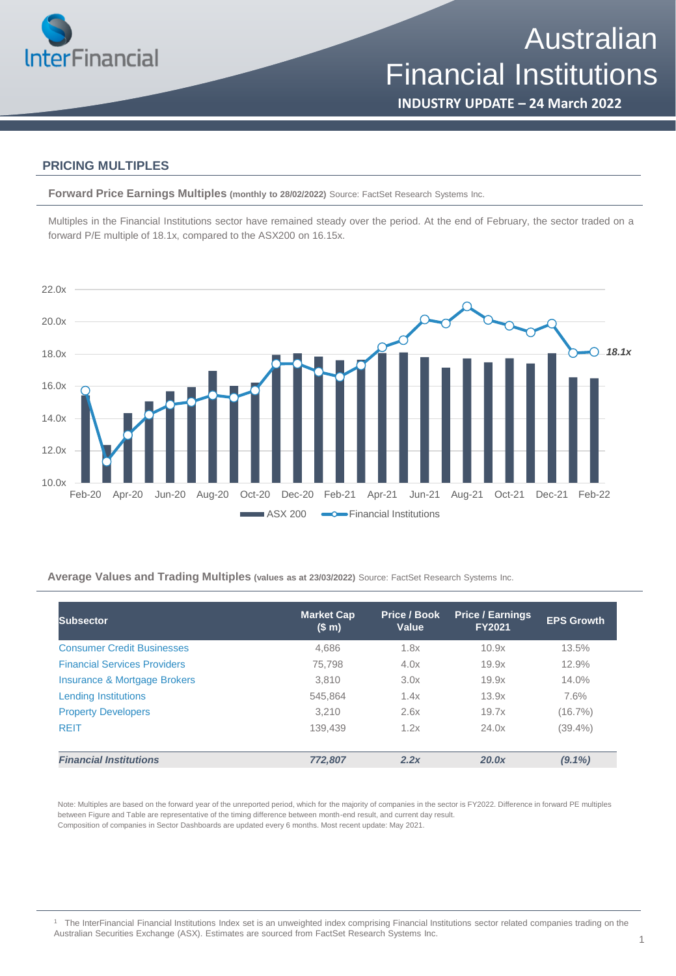

**INDUSTRY UPDATE – 24 March 2022**

### **PRICING MULTIPLES**

**Forward Price Earnings Multiples (monthly to 28/02/2022)** Source: FactSet Research Systems Inc.

Multiples in the Financial Institutions sector have remained steady over the period. At the end of February, the sector traded on a forward P/E multiple of 18.1x, compared to the ASX200 on 16.15x.



**Average Values and Trading Multiples (values as at 23/03/2022)** Source: FactSet Research Systems Inc.

| <b>Subsector</b>                    | <b>Market Cap</b><br>(\$m) | Price / Book<br>Value | <b>Price / Earnings</b><br><b>FY2021</b> | <b>EPS Growth</b> |
|-------------------------------------|----------------------------|-----------------------|------------------------------------------|-------------------|
| <b>Consumer Credit Businesses</b>   | 4,686                      | 1.8x                  | 10.9x                                    | 13.5%             |
| <b>Financial Services Providers</b> | 75,798                     | 4.0x                  | 19.9x                                    | 12.9%             |
| Insurance & Mortgage Brokers        | 3.810                      | 3.0x                  | 19.9x                                    | 14.0%             |
| <b>Lending Institutions</b>         | 545.864                    | 1.4x                  | 13.9x                                    | 7.6%              |
| <b>Property Developers</b>          | 3.210                      | 2.6x                  | 19.7x                                    | $(16.7\%)$        |
| <b>REIT</b>                         | 139,439                    | 1.2x                  | 24.0x                                    | $(39.4\%)$        |
| <b>Financial Institutions</b>       | 772.807                    | 2.2x                  | 20.0x                                    | $(9.1\%)$         |

Note: Multiples are based on the forward year of the unreported period, which for the majority of companies in the sector is FY2022. Difference in forward PE multiples between Figure and Table are representative of the timing difference between month-end result, and current day result. Composition of companies in Sector Dashboards are updated every 6 months. Most recent update: May 2021.

<sup>1</sup> The InterFinancial Financial Institutions Index set is an unweighted index comprising Financial Institutions sector related companies trading on the Australian Securities Exchange (ASX). Estimates are sourced from FactSet Research Systems Inc.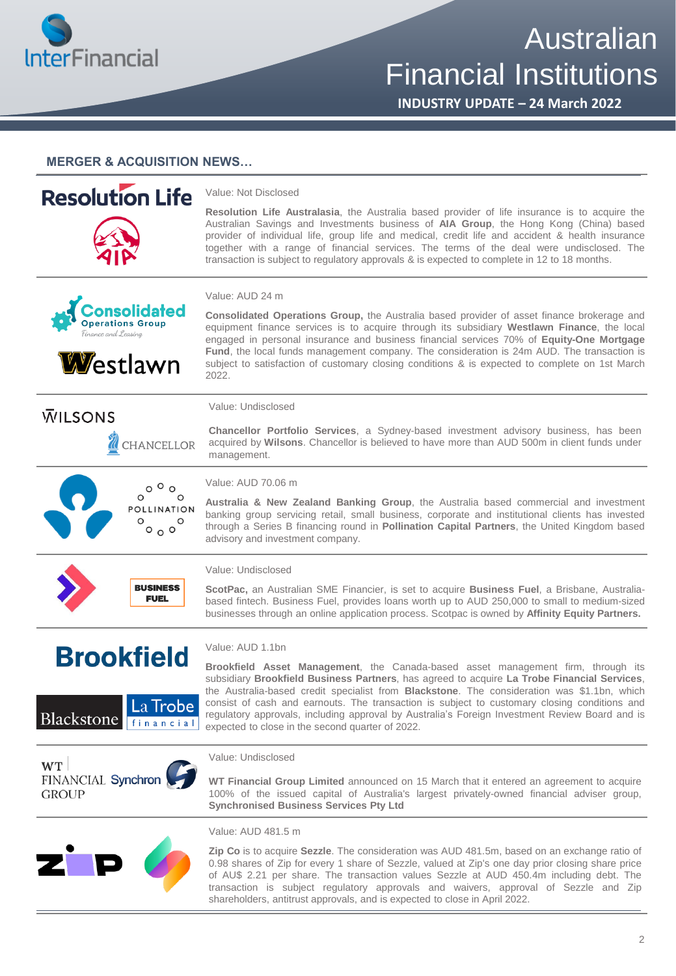

Australian Financial Institutions

**INDUSTRY UPDATE – 24 March 2022**

### **MERGER & ACQUISITION NEWS…**

#### **Resolution Life** Value: Not Disclosed **Resolution Life Australasia**, the Australia based provider of life insurance is to acquire the Australian Savings and Investments business of **AIA Group**, the Hong Kong (China) based provider of individual life, group life and medical, credit life and accident & health insurance together with a range of financial services. The terms of the deal were undisclosed. The transaction is subject to regulatory approvals & is expected to complete in 12 to 18 months. Value: AUD 24 m onsolidated **Consolidated Operations Group,** the Australia based provider of asset finance brokerage and **Operations Group** equipment finance services is to acquire through its subsidiary **Westlawn Finance**, the local engaged in personal insurance and business financial services 70% of **Equity-One Mortgage Fund**, the local funds management company. The consideration is 24m AUD. The transaction is **W**estlawn subject to satisfaction of customary closing conditions & is expected to complete on 1st March 2022. Value: Undisclosed **WILSONS Chancellor Portfolio Services**, a Sydney-based investment advisory business, has been acquired by **Wilsons**. Chancellor is believed to have more than AUD 500m in client funds under CHANCELLOR management. Value: AUD 70.06 m  $\circ$ ° $\circ$ **Australia & New Zealand Banking Group**, the Australia based commercial and investment POLLINATION banking group servicing retail, small business, corporate and institutional clients has invested  $^{\circ}$ °° through a Series B financing round in **Pollination Capital Partners**, the United Kingdom based advisory and investment company. Value: Undisclosed **BUSINESS ScotPac,** an Australian SME Financier, is set to acquire **Business Fuel**, a Brisbane, Australia-**EUEL** based fintech. Business Fuel, provides loans worth up to AUD 250,000 to small to medium-sized businesses through an online application process. Scotpac is owned by **Affinity Equity Partners.** Value: AUD 1.1bn **Brookfield Brookfield Asset Management**, the Canada-based asset management firm, through its subsidiary **Brookfield Business Partners**, has agreed to acquire **La Trobe Financial Services**, the Australia-based credit specialist from **Blackstone**. The consideration was \$1.1bn, which consist of cash and earnouts. The transaction is subject to customary closing conditions and .a Trobe regulatory approvals, including approval by Australia's Foreign Investment Review Board and is Blackstone financial expected to close in the second quarter of 2022. Value: Undisclosed **WT** FINANCIAL Synchron **WT Financial Group Limited** announced on 15 March that it entered an agreement to acquire 100% of the issued capital of Australia's largest privately-owned financial adviser group, **GROUP Synchronised Business Services Pty Ltd**



Value: AUD 481.5 m

**Zip Co** is to acquire **Sezzle**. The consideration was AUD 481.5m, based on an exchange ratio of 0.98 shares of Zip for every 1 share of Sezzle, valued at Zip's one day prior closing share price of AU\$ 2.21 per share. The transaction values Sezzle at AUD 450.4m including debt. The transaction is subject regulatory approvals and waivers, approval of Sezzle and Zip shareholders, antitrust approvals, and is expected to close in April 2022.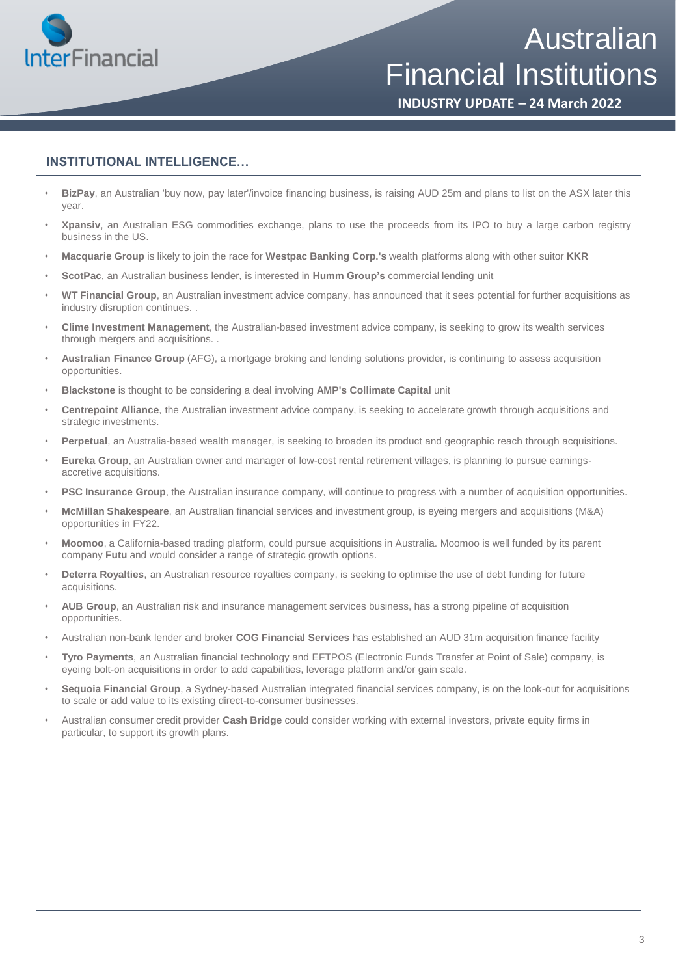

# Australian Financial Institutions

**INDUSTRY UPDATE – 24 March 2022**

### **INSTITUTIONAL INTELLIGENCE…**

- **BizPay**, an Australian 'buy now, pay later'/invoice financing business, is raising AUD 25m and plans to list on the ASX later this year.
- **Xpansiv**, an Australian ESG commodities exchange, plans to use the proceeds from its IPO to buy a large carbon registry business in the US.
- **Macquarie Group** is likely to join the race for **Westpac Banking Corp.'s** wealth platforms along with other suitor **KKR**
- **ScotPac**, an Australian business lender, is interested in **Humm Group's** commercial lending unit
- **WT Financial Group**, an Australian investment advice company, has announced that it sees potential for further acquisitions as industry disruption continues. .
- **Clime Investment Management**, the Australian-based investment advice company, is seeking to grow its wealth services through mergers and acquisitions. .
- **Australian Finance Group** (AFG), a mortgage broking and lending solutions provider, is continuing to assess acquisition opportunities.
- **Blackstone** is thought to be considering a deal involving **AMP's Collimate Capital** unit
- **Centrepoint Alliance**, the Australian investment advice company, is seeking to accelerate growth through acquisitions and strategic investments.
- **Perpetual**, an Australia-based wealth manager, is seeking to broaden its product and geographic reach through acquisitions.
- **Eureka Group**, an Australian owner and manager of low-cost rental retirement villages, is planning to pursue earningsaccretive acquisitions.
- **PSC Insurance Group**, the Australian insurance company, will continue to progress with a number of acquisition opportunities.
- **McMillan Shakespeare**, an Australian financial services and investment group, is eyeing mergers and acquisitions (M&A) opportunities in FY22.
- **Moomoo**, a California-based trading platform, could pursue acquisitions in Australia. Moomoo is well funded by its parent company **Futu** and would consider a range of strategic growth options.
- **Deterra Royalties**, an Australian resource royalties company, is seeking to optimise the use of debt funding for future acquisitions.
- **AUB Group**, an Australian risk and insurance management services business, has a strong pipeline of acquisition opportunities.
- Australian non-bank lender and broker **COG Financial Services** has established an AUD 31m acquisition finance facility
- **Tyro Payments**, an Australian financial technology and EFTPOS (Electronic Funds Transfer at Point of Sale) company, is eyeing bolt-on acquisitions in order to add capabilities, leverage platform and/or gain scale.
- **Sequoia Financial Group**, a Sydney-based Australian integrated financial services company, is on the look-out for acquisitions to scale or add value to its existing direct-to-consumer businesses.
- Australian consumer credit provider **Cash Bridge** could consider working with external investors, private equity firms in particular, to support its growth plans.